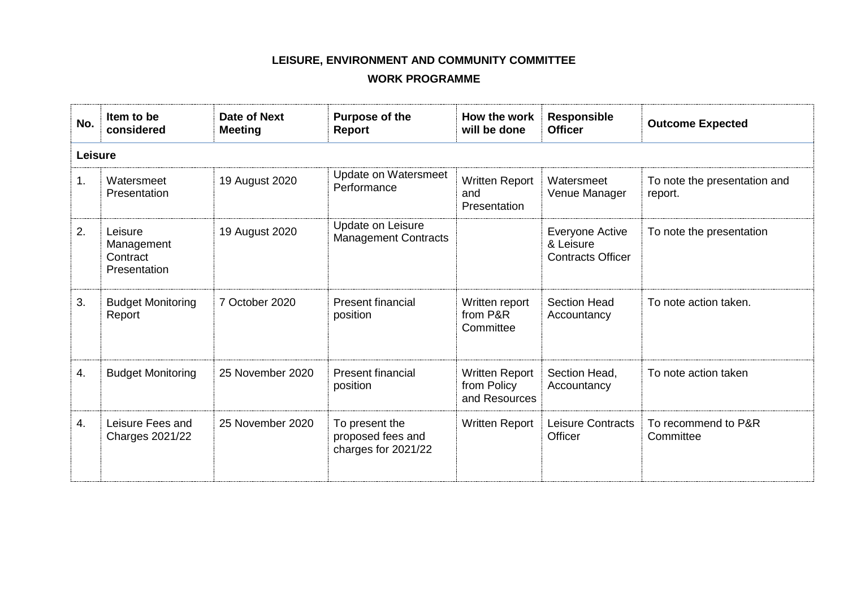## **LEISURE, ENVIRONMENT AND COMMUNITY COMMITTEE**

## **WORK PROGRAMME**

| No. | Item to be<br>considered                          | Date of Next<br><b>Meeting</b> | Purpose of the<br>Report                                   | How the work<br>will be done                          | <b>Responsible</b><br><b>Officer</b>                     | <b>Outcome Expected</b>                 |  |  |
|-----|---------------------------------------------------|--------------------------------|------------------------------------------------------------|-------------------------------------------------------|----------------------------------------------------------|-----------------------------------------|--|--|
|     | Leisure                                           |                                |                                                            |                                                       |                                                          |                                         |  |  |
| 1.  | Watersmeet<br>Presentation                        | 19 August 2020                 | <b>Update on Watersmeet</b><br>Performance                 | <b>Written Report</b><br>and<br>Presentation          | Watersmeet<br>Venue Manager                              | To note the presentation and<br>report. |  |  |
| 2.  | Leisure<br>Management<br>Contract<br>Presentation | 19 August 2020                 | Update on Leisure<br><b>Management Contracts</b>           |                                                       | Everyone Active<br>& Leisure<br><b>Contracts Officer</b> | To note the presentation                |  |  |
| 3.  | <b>Budget Monitoring</b><br>Report                | 7 October 2020                 | <b>Present financial</b><br>position                       | Written report<br>from P&R<br>Committee               | <b>Section Head</b><br>Accountancy                       | To note action taken.                   |  |  |
| 4.  | <b>Budget Monitoring</b>                          | 25 November 2020               | <b>Present financial</b><br>position                       | <b>Written Report</b><br>from Policy<br>and Resources | Section Head,<br>Accountancy                             | To note action taken                    |  |  |
| 4.  | Leisure Fees and<br><b>Charges 2021/22</b>        | 25 November 2020               | To present the<br>proposed fees and<br>charges for 2021/22 | Written Report                                        | <b>Leisure Contracts</b><br>Officer                      | To recommend to P&R<br>Committee        |  |  |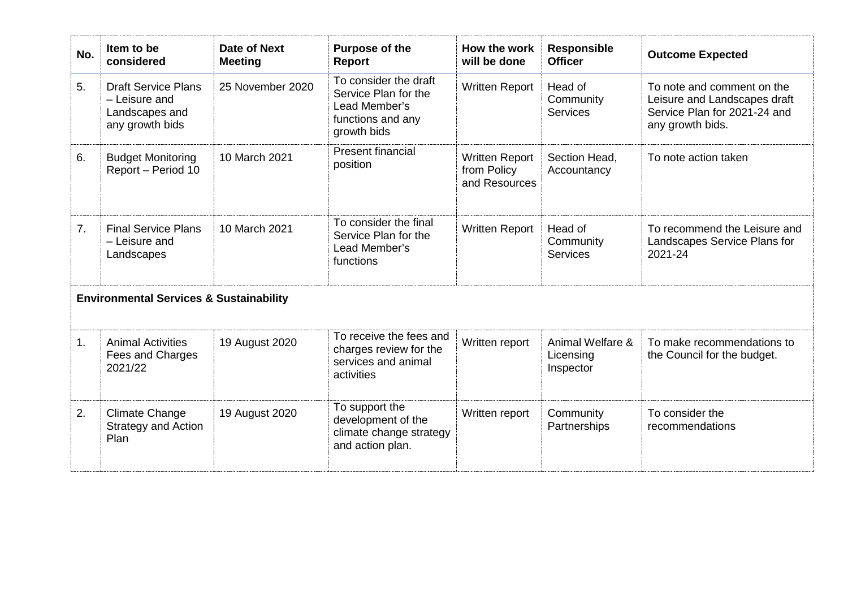| No. | Item to be<br>considered                                                         | Date of Next<br><b>Meeting</b> | Purpose of the<br><b>Report</b>                                                                    | How the work<br>will be done                          | <b>Responsible</b><br><b>Officer</b>       | <b>Outcome Expected</b>                                                                                        |  |
|-----|----------------------------------------------------------------------------------|--------------------------------|----------------------------------------------------------------------------------------------------|-------------------------------------------------------|--------------------------------------------|----------------------------------------------------------------------------------------------------------------|--|
| 5.  | <b>Draft Service Plans</b><br>- Leisure and<br>Landscapes and<br>any growth bids | 25 November 2020               | To consider the draft<br>Service Plan for the<br>Lead Member's<br>functions and any<br>growth bids | <b>Written Report</b>                                 | Head of<br>Community<br><b>Services</b>    | To note and comment on the<br>Leisure and Landscapes draft<br>Service Plan for 2021-24 and<br>any growth bids. |  |
| 6.  | <b>Budget Monitoring</b><br>Report - Period 10                                   | 10 March 2021                  | <b>Present financial</b><br>position                                                               | <b>Written Report</b><br>from Policy<br>and Resources | Section Head,<br>Accountancy               | To note action taken                                                                                           |  |
| 7.  | <b>Final Service Plans</b><br>- Leisure and<br>Landscapes                        | 10 March 2021                  | To consider the final<br>Service Plan for the<br>Lead Member's<br>functions                        | <b>Written Report</b>                                 | Head of<br>Community<br>Services           | To recommend the Leisure and<br>Landscapes Service Plans for<br>2021-24                                        |  |
|     | <b>Environmental Services &amp; Sustainability</b>                               |                                |                                                                                                    |                                                       |                                            |                                                                                                                |  |
| 1.  | <b>Animal Activities</b><br>Fees and Charges<br>2021/22                          | 19 August 2020                 | To receive the fees and<br>charges review for the<br>services and animal<br>activities             | Written report                                        | Animal Welfare &<br>Licensing<br>Inspector | To make recommendations to<br>the Council for the budget.                                                      |  |
| 2.  | <b>Climate Change</b><br><b>Strategy and Action</b><br>Plan                      | 19 August 2020                 | To support the<br>development of the<br>climate change strategy<br>and action plan.                | Written report                                        | Community<br>Partnerships                  | To consider the<br>recommendations                                                                             |  |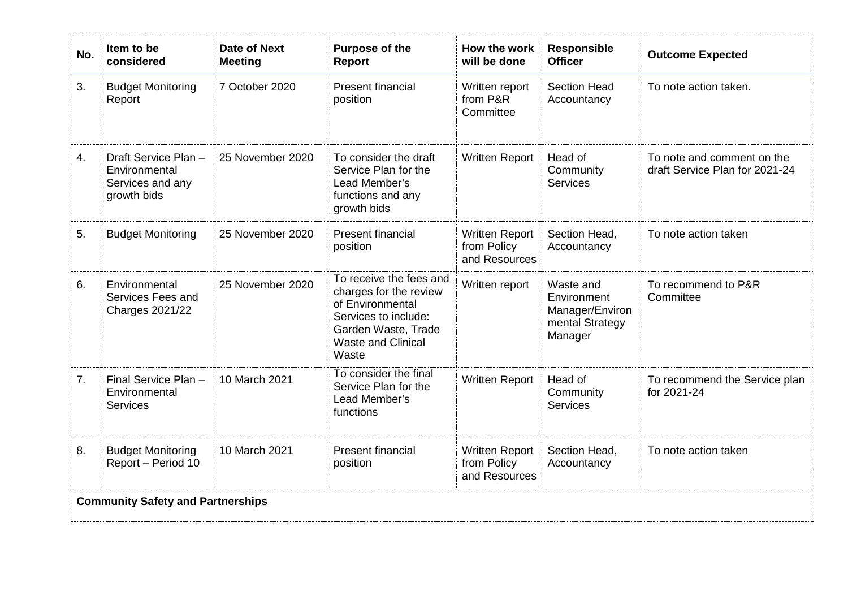| No.                                      | Item to be<br>considered                                                | Date of Next<br><b>Meeting</b> | Purpose of the<br><b>Report</b>                                                                                                                            | How the work<br>will be done                          | <b>Responsible</b><br><b>Officer</b>                                      | <b>Outcome Expected</b>                                      |
|------------------------------------------|-------------------------------------------------------------------------|--------------------------------|------------------------------------------------------------------------------------------------------------------------------------------------------------|-------------------------------------------------------|---------------------------------------------------------------------------|--------------------------------------------------------------|
| 3.                                       | <b>Budget Monitoring</b><br>Report                                      | 7 October 2020                 | <b>Present financial</b><br>position                                                                                                                       | Written report<br>from P&R<br>Committee               | <b>Section Head</b><br>Accountancy                                        | To note action taken.                                        |
| 4.                                       | Draft Service Plan-<br>Environmental<br>Services and any<br>growth bids | 25 November 2020               | To consider the draft<br>Service Plan for the<br>Lead Member's<br>functions and any<br>growth bids                                                         | <b>Written Report</b>                                 | Head of<br>Community<br>Services                                          | To note and comment on the<br>draft Service Plan for 2021-24 |
| 5.                                       | <b>Budget Monitoring</b>                                                | 25 November 2020               | <b>Present financial</b><br>position                                                                                                                       | <b>Written Report</b><br>from Policy<br>and Resources | Section Head,<br>Accountancy                                              | To note action taken                                         |
| 6.                                       | Environmental<br>Services Fees and<br><b>Charges 2021/22</b>            | 25 November 2020               | To receive the fees and<br>charges for the review<br>of Environmental<br>Services to include:<br>Garden Waste, Trade<br><b>Waste and Clinical</b><br>Waste | Written report                                        | Waste and<br>Environment<br>Manager/Environ<br>mental Strategy<br>Manager | To recommend to P&R<br>Committee                             |
| 7.                                       | Final Service Plan -<br>Environmental<br><b>Services</b>                | 10 March 2021                  | To consider the final<br>Service Plan for the<br>Lead Member's<br>functions                                                                                | <b>Written Report</b>                                 | Head of<br>Community<br><b>Services</b>                                   | To recommend the Service plan<br>for 2021-24                 |
| 8.                                       | <b>Budget Monitoring</b><br>Report - Period 10                          | 10 March 2021                  | <b>Present financial</b><br>position                                                                                                                       | <b>Written Report</b><br>from Policy<br>and Resources | Section Head,<br>Accountancy                                              | To note action taken                                         |
| <b>Community Safety and Partnerships</b> |                                                                         |                                |                                                                                                                                                            |                                                       |                                                                           |                                                              |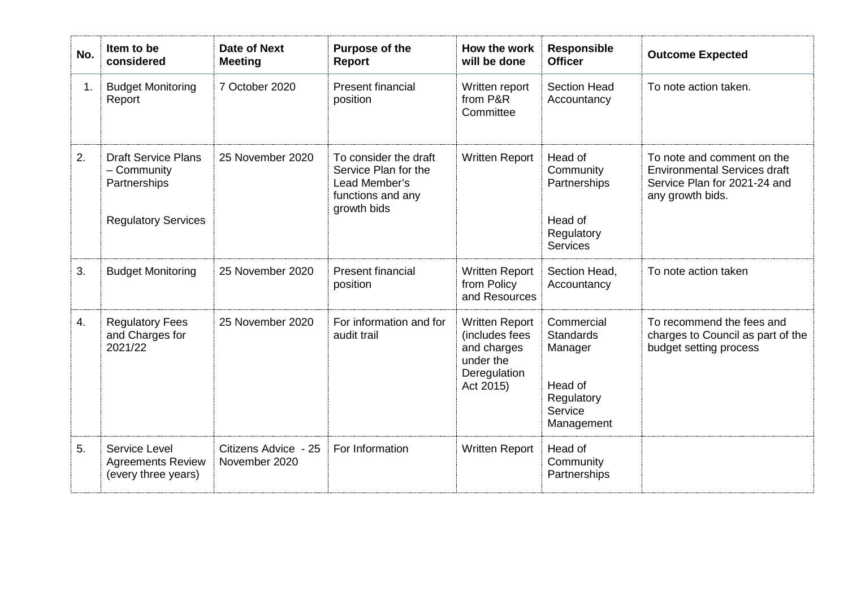| No. | Item to be<br>considered                                                                | <b>Date of Next</b><br><b>Meeting</b> | Purpose of the<br><b>Report</b>                                                                    | How the work<br>will be done                                                                     | <b>Responsible</b><br><b>Officer</b>                                                        | <b>Outcome Expected</b>                                                                                               |
|-----|-----------------------------------------------------------------------------------------|---------------------------------------|----------------------------------------------------------------------------------------------------|--------------------------------------------------------------------------------------------------|---------------------------------------------------------------------------------------------|-----------------------------------------------------------------------------------------------------------------------|
| 1.  | <b>Budget Monitoring</b><br>Report                                                      | 7 October 2020                        | <b>Present financial</b><br>position                                                               | Written report<br>from P&R<br>Committee                                                          | <b>Section Head</b><br>Accountancy                                                          | To note action taken.                                                                                                 |
| 2.  | <b>Draft Service Plans</b><br>- Community<br>Partnerships<br><b>Regulatory Services</b> | 25 November 2020                      | To consider the draft<br>Service Plan for the<br>Lead Member's<br>functions and any<br>growth bids | <b>Written Report</b>                                                                            | Head of<br>Community<br>Partnerships<br>Head of<br>Regulatory<br><b>Services</b>            | To note and comment on the<br><b>Environmental Services draft</b><br>Service Plan for 2021-24 and<br>any growth bids. |
| 3.  | <b>Budget Monitoring</b>                                                                | 25 November 2020                      | <b>Present financial</b><br>position                                                               | <b>Written Report</b><br>from Policy<br>and Resources                                            | Section Head,<br>Accountancy                                                                | To note action taken                                                                                                  |
| 4.  | <b>Regulatory Fees</b><br>and Charges for<br>2021/22                                    | 25 November 2020                      | For information and for<br>audit trail                                                             | <b>Written Report</b><br>(includes fees<br>and charges<br>under the<br>Deregulation<br>Act 2015) | Commercial<br><b>Standards</b><br>Manager<br>Head of<br>Regulatory<br>Service<br>Management | To recommend the fees and<br>charges to Council as part of the<br>budget setting process                              |
| 5.  | <b>Service Level</b><br><b>Agreements Review</b><br>(every three years)                 | Citizens Advice - 25<br>November 2020 | For Information                                                                                    | <b>Written Report</b>                                                                            | Head of<br>Community<br>Partnerships                                                        |                                                                                                                       |